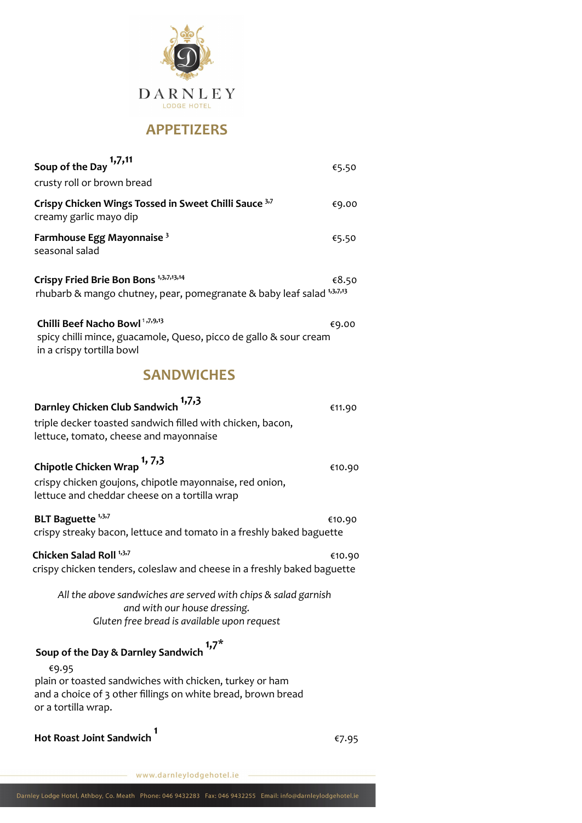

## **APPETIZERS**

| Soup of the Day 1,7,11<br>crusty roll or brown bread                                                                                                   | €5.50  |
|--------------------------------------------------------------------------------------------------------------------------------------------------------|--------|
| Crispy Chicken Wings Tossed in Sweet Chilli Sauce <sup>3,7</sup><br>creamy garlic mayo dip                                                             | €9.00  |
| Farmhouse Egg Mayonnaise <sup>3</sup><br>seasonal salad                                                                                                | €5.50  |
| Crispy Fried Brie Bon Bons 1,3,7,13,14<br>rhubarb & mango chutney, pear, pomegranate & baby leaf salad 1,3,7,13                                        | €8.50  |
| Chilli Beef Nacho Bowl <sup>1,7,9,13</sup><br>spicy chilli mince, guacamole, Queso, picco de gallo & sour cream<br>in a crispy tortilla bowl           | €9.00  |
| <b>SANDWICHES</b>                                                                                                                                      |        |
| Darnley Chicken Club Sandwich <sup>1,7,3</sup><br>triple decker toasted sandwich filled with chicken, bacon,<br>lettuce, tomato, cheese and mayonnaise | €11.90 |
| Chipotle Chicken Wrap <sup>1, 7,3</sup><br>crispy chicken goujons, chipotle mayonnaise, red onion,<br>lettuce and cheddar cheese on a tortilla wrap    | €10.90 |
| BLT Baguette <sup>1,3,7</sup><br>crispy streaky bacon, lettuce and tomato in a freshly baked baguette                                                  | €10.90 |
| Chicken Salad Roll <sup>1,3,7</sup><br>crispy chicken tenders, coleslaw and cheese in a freshly baked baguette                                         | €10.90 |
| All the above sandwiches are served with chips & salad garnish<br>and with our house dressing.<br>Gluten free bread is available upon request          |        |
| Soup of the Day & Darnley Sandwich <sup>1,7*</sup><br>€9.95<br>plain or toasted sandwiches with chicken, turkey or ham                                 |        |
| and a choice of 3 other fillings on white bread, brown bread<br>or a tortilla wrap.                                                                    |        |

**Hot Roast Joint Sandwich 1**

€7.95

www.darnleylodgehotel.ie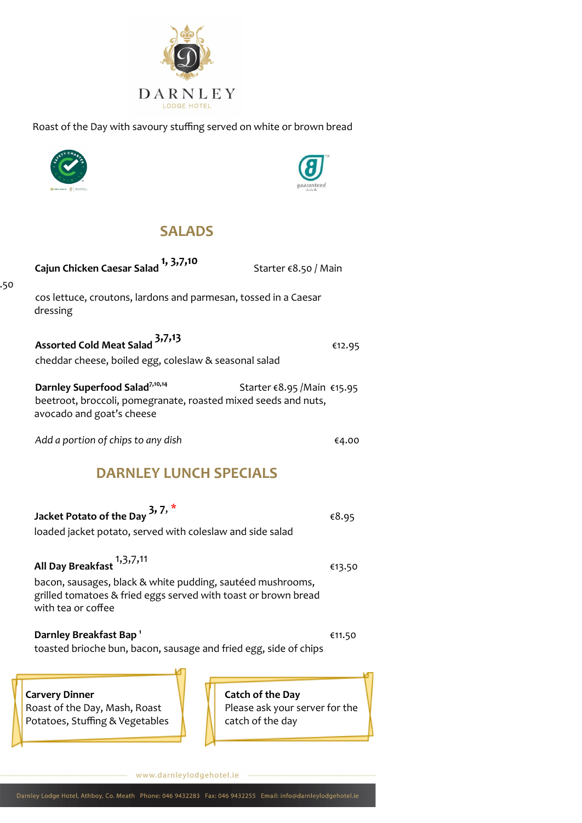

Roast of the Day with savoury stuffing served on white or brown bread



.50



# **SALADS**

| Cajun Chicken Caesar Salad 1, 3,7,10<br>Starter €8.50 / Main                                                                                                            |        |
|-------------------------------------------------------------------------------------------------------------------------------------------------------------------------|--------|
| cos lettuce, croutons, lardons and parmesan, tossed in a Caesar<br>dressing                                                                                             |        |
| Assorted Cold Meat Salad 3,7,13<br>cheddar cheese, boiled egg, coleslaw & seasonal salad                                                                                | €12.95 |
| Darnley Superfood Salad <sup>7,10,14</sup><br>Starter €8.95 /Main €15.95<br>beetroot, broccoli, pomegranate, roasted mixed seeds and nuts,<br>avocado and goat's cheese |        |
| Add a portion of chips to any dish                                                                                                                                      | €4.00  |
| <b>DARNLEY LUNCH SPECIALS</b>                                                                                                                                           |        |
| Jacket Potato of the Day $3, 7, *$<br>loaded jacket potato, served with coleslaw and side salad                                                                         | €8.95  |
| All Day Breakfast 1,3,7,11<br>bacon, sausages, black & white pudding, sautéed mushrooms,<br>grilled tomatoes & fried eggs served with toast or brown bread              | €13.50 |
| with tea or coffee<br>Darnley Breakfast Bap <sup>1</sup><br>toasted brioche bun, bacon, sausage and fried egg, side of chips                                            | €11.50 |
| Catch of the Day<br><b>Carvery Dinner</b>                                                                                                                               |        |

Roast of the Day, Mash, Roast Please ask your server for the Potatoes, Stuffing & Vegetables

www.darnleylodgehotel.ie

Potatoes, Stuffing & Vegetables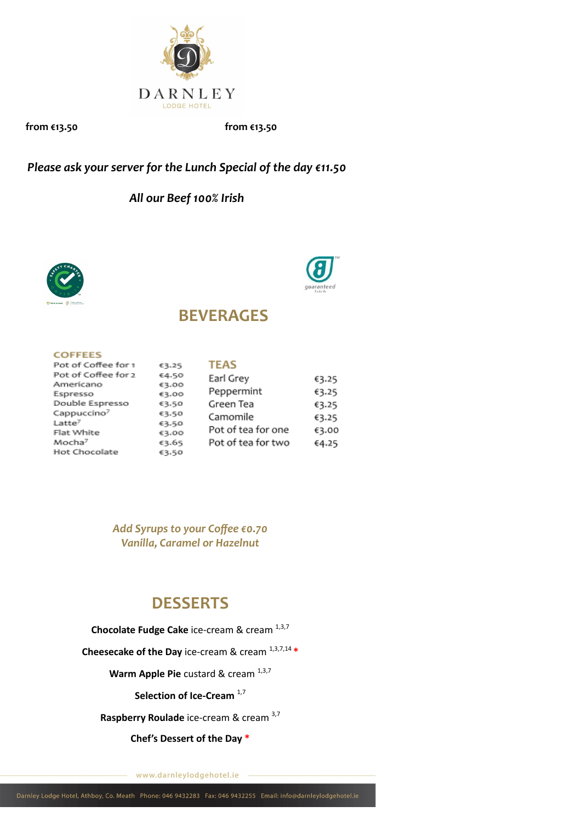

**from €13.50 from €13.50**

#### *Please ask your server for the Lunch Special of the day €11.50*

#### *All our Beef 100% Irish*





### **BEVERAGES**

| Pot of Coffee for 1     | €3.25 | TEAS               |       |
|-------------------------|-------|--------------------|-------|
| Pot of Coffee for 2     | €4.50 | Earl Grey          | €3.25 |
| Americano               | €3.00 |                    |       |
| Espresso                | €3.00 | Peppermint         | €3.25 |
| Double Espresso         | €3.50 | Green Tea          | €3.25 |
| Cappuccino <sup>7</sup> | €3.50 | Camomile           | €3.25 |
| Latte <sup>7</sup>      | €3.50 |                    |       |
| Flat White              | €3.00 | Pot of tea for one | €3.00 |
| Mocha <sup>7</sup>      | €3.65 | Pot of tea for two | 64.25 |
| Hot Chocolate           | €3.50 |                    |       |

*Add Syrups to your Coffee €0.70 Vanilla, Caramel or Hazelnut*

# **DESSERTS**

- **Chocolate Fudge Cake** ice-cream & cream 1,3,7
- **Cheesecake of the Day** ice-cream & cream 1,3,7,14 **\***

**Warm Apple Pie** custard & cream 1,3,7

**Selection of Ice-Cream** 1,7

**Raspberry Roulade** ice-cream & cream 3,7

**Chef's Dessert of the Day \***

www.darnleylodgehotel.ie